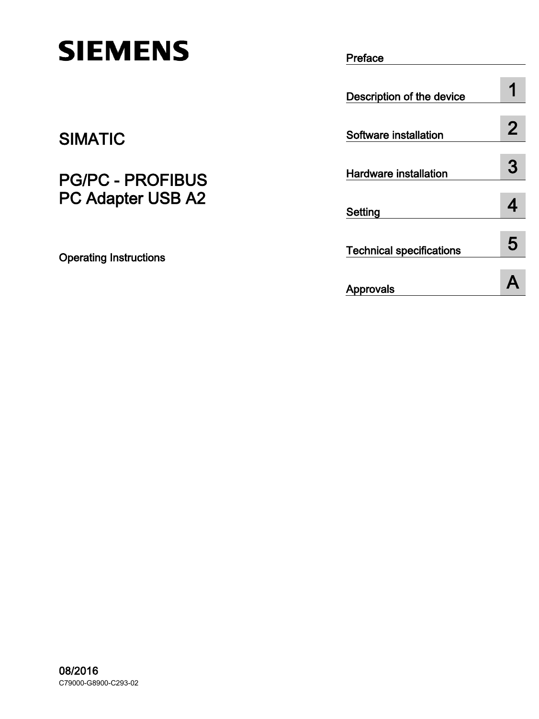## **SIEMENS**

SIMATIC

## PG/PC - PROFIBUS PC Adapter USB A2

Operating Instructions

Preface

| Description of the device       |   |
|---------------------------------|---|
| Software installation           | 2 |
| <b>Hardware installation</b>    | 3 |
| Setting                         |   |
| <b>Technical specifications</b> | 5 |
| <b>Approvals</b>                |   |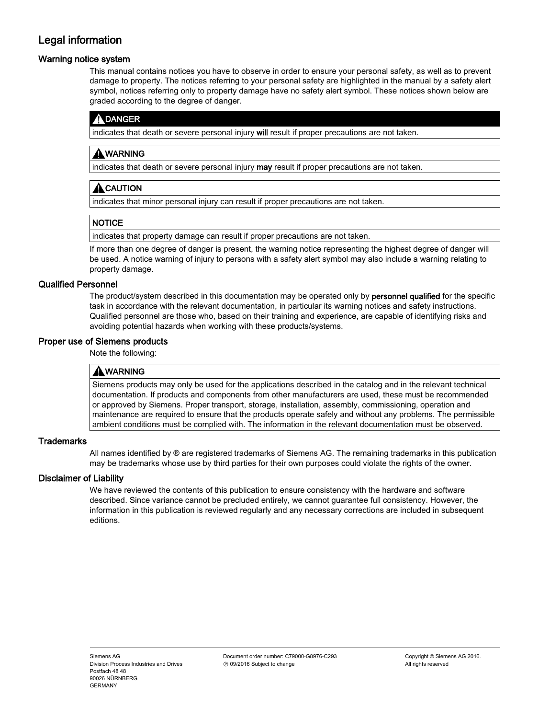#### Legal information

#### Warning notice system

This manual contains notices you have to observe in order to ensure your personal safety, as well as to prevent damage to property. The notices referring to your personal safety are highlighted in the manual by a safety alert symbol, notices referring only to property damage have no safety alert symbol. These notices shown below are graded according to the degree of danger.

#### DANGER

indicates that death or severe personal injury will result if proper precautions are not taken.

#### **AWARNING**

indicates that death or severe personal injury may result if proper precautions are not taken.

#### **A** CAUTION

indicates that minor personal injury can result if proper precautions are not taken.

#### **NOTICE**

indicates that property damage can result if proper precautions are not taken.

If more than one degree of danger is present, the warning notice representing the highest degree of danger will be used. A notice warning of injury to persons with a safety alert symbol may also include a warning relating to property damage.

#### Qualified Personnel

The product/system described in this documentation may be operated only by personnel qualified for the specific task in accordance with the relevant documentation, in particular its warning notices and safety instructions. Qualified personnel are those who, based on their training and experience, are capable of identifying risks and avoiding potential hazards when working with these products/systems.

#### Proper use of Siemens products

Note the following:

#### WARNING

Siemens products may only be used for the applications described in the catalog and in the relevant technical documentation. If products and components from other manufacturers are used, these must be recommended or approved by Siemens. Proper transport, storage, installation, assembly, commissioning, operation and maintenance are required to ensure that the products operate safely and without any problems. The permissible ambient conditions must be complied with. The information in the relevant documentation must be observed.

#### **Trademarks**

All names identified by ® are registered trademarks of Siemens AG. The remaining trademarks in this publication may be trademarks whose use by third parties for their own purposes could violate the rights of the owner.

#### Disclaimer of Liability

We have reviewed the contents of this publication to ensure consistency with the hardware and software described. Since variance cannot be precluded entirely, we cannot guarantee full consistency. However, the information in this publication is reviewed regularly and any necessary corrections are included in subsequent editions.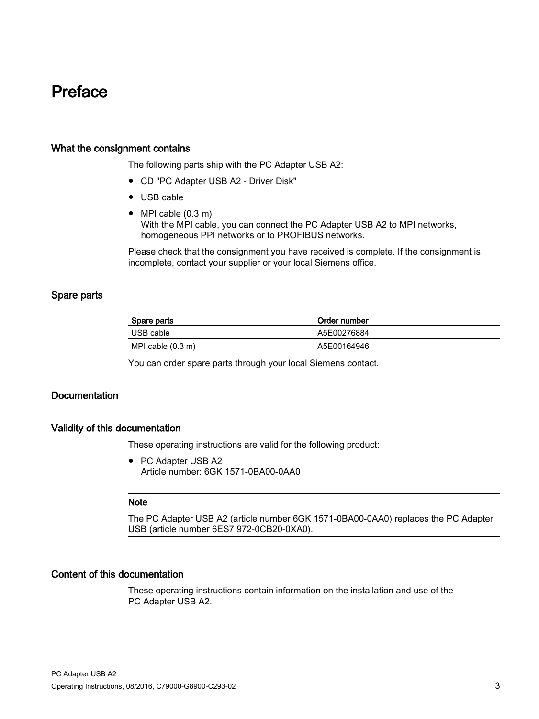## <span id="page-2-0"></span>Preface

#### What the consignment contains

The following parts ship with the PC Adapter USB A2:

- CD "PC Adapter USB A2 Driver Disk"
- USB cable
- MPI cable (0.3 m) With the MPI cable, you can connect the PC Adapter USB A2 to MPI networks, homogeneous PPI networks or to PROFIBUS networks.

Please check that the consignment you have received is complete. If the consignment is incomplete, contact your supplier or your local Siemens office.

#### Spare parts

| Spare parts                    | Order number |
|--------------------------------|--------------|
| USB cable                      | A5E00276884  |
| $ MPI$ cable $(0.3 \text{ m})$ | A5E00164946  |

You can order spare parts through your local Siemens contact.

#### **Documentation**

#### Validity of this documentation

These operating instructions are valid for the following product:

● PC Adapter USB A2 Article number: 6GK 1571-0BA00-0AA0

#### **Note**

The PC Adapter USB A2 (article number 6GK 1571-0BA00-0AA0) replaces the PC Adapter USB (article number 6ES7 972-0CB20-0XA0).

#### Content of this documentation

These operating instructions contain information on the installation and use of the PC Adapter USB A2.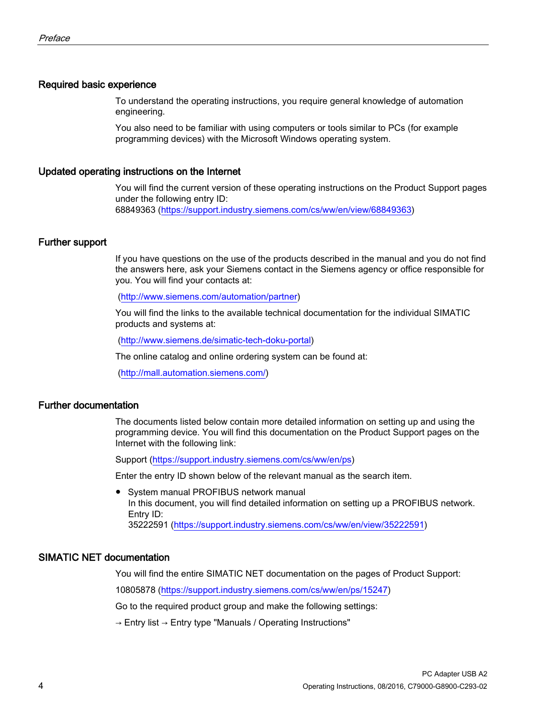#### Required basic experience

To understand the operating instructions, you require general knowledge of automation engineering.

You also need to be familiar with using computers or tools similar to PCs (for example programming devices) with the Microsoft Windows operating system.

#### Updated operating instructions on the Internet

You will find the current version of these operating instructions on the Product Support pages under the following entry ID: 68849363 [\(https://support.industry.siemens.com/cs/ww/en/view/68849363\)](https://support.industry.siemens.com/cs/ww/en/view/68849363)

#### Further support

If you have questions on the use of the products described in the manual and you do not find the answers here, ask your Siemens contact in the Siemens agency or office responsible for you. You will find your contacts at:

[\(http://www.siemens.com/automation/partner\)](http://www.siemens.com/automation/partner)

You will find the links to the available technical documentation for the individual SIMATIC products and systems at:

[\(http://www.siemens.de/simatic-tech-doku-portal\)](http://www.siemens.de/simatic-tech-doku-portal)

The online catalog and online ordering system can be found at:

[\(http://mall.automation.siemens.com/\)](http://mall.automation.siemens.com/)

#### Further documentation

The documents listed below contain more detailed information on setting up and using the programming device. You will find this documentation on the Product Support pages on the Internet with the following link:

Support [\(https://support.industry.siemens.com/cs/ww/en/ps\)](https://support.industry.siemens.com/cs/ww/en/ps)

Enter the entry ID shown below of the relevant manual as the search item.

● System manual PROFIBUS network manual In this document, you will find detailed information on setting up a PROFIBUS network. Entry ID: 35222591 [\(https://support.industry.siemens.com/cs/ww/en/view/35222591\)](https://support.industry.siemens.com/cs/ww/en/view/35222591)

#### SIMATIC NET documentation

You will find the entire SIMATIC NET documentation on the pages of Product Support:

10805878 [\(https://support.industry.siemens.com/cs/ww/en/ps/15247\)](https://support.industry.siemens.com/cs/ww/en/ps/15247)

Go to the required product group and make the following settings:

 $\rightarrow$  Entry list  $\rightarrow$  Entry type "Manuals / Operating Instructions"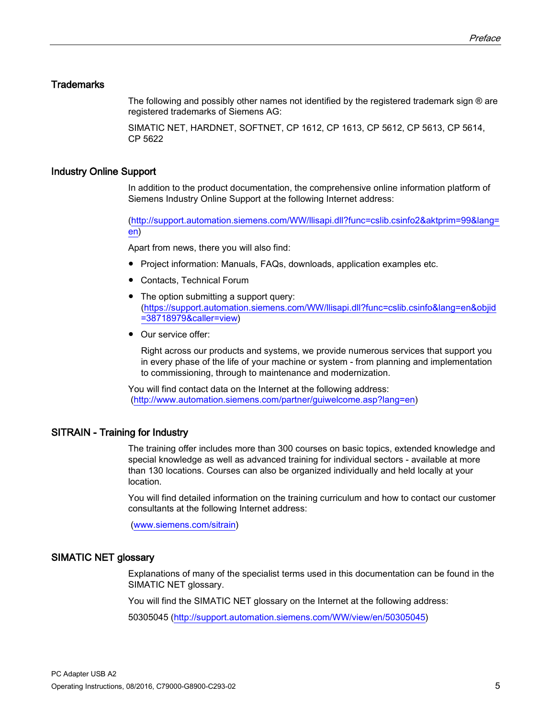#### **Trademarks**

The following and possibly other names not identified by the registered trademark sign  $\circledR$  are registered trademarks of Siemens AG:

SIMATIC NET, HARDNET, SOFTNET, CP 1612, CP 1613, CP 5612, CP 5613, CP 5614, CP 5622

#### Industry Online Support

In addition to the product documentation, the comprehensive online information platform of Siemens Industry Online Support at the following Internet address:

[\(http://support.automation.siemens.com/WW/llisapi.dll?func=cslib.csinfo2&aktprim=99&lang=](http://support.automation.siemens.com/WW/llisapi.dll?func=cslib.csinfo2&aktprim=99&lang=en) [en\)](http://support.automation.siemens.com/WW/llisapi.dll?func=cslib.csinfo2&aktprim=99&lang=en)

Apart from news, there you will also find:

- Project information: Manuals, FAQs, downloads, application examples etc.
- Contacts, Technical Forum
- The option submitting a support query: [\(https://support.automation.siemens.com/WW/llisapi.dll?func=cslib.csinfo&lang=en&objid](https://support.automation.siemens.com/WW/llisapi.dll?func=cslib.csinfo&lang=en&objid=38718979&caller=view) [=38718979&caller=view\)](https://support.automation.siemens.com/WW/llisapi.dll?func=cslib.csinfo&lang=en&objid=38718979&caller=view)
- Our service offer:

Right across our products and systems, we provide numerous services that support you in every phase of the life of your machine or system - from planning and implementation to commissioning, through to maintenance and modernization.

You will find contact data on the Internet at the following address: [\(http://www.automation.siemens.com/partner/guiwelcome.asp?lang=en\)](http://www.automation.siemens.com/partner/guiwelcome.asp?lang=en)

#### SITRAIN - Training for Industry

The training offer includes more than 300 courses on basic topics, extended knowledge and special knowledge as well as advanced training for individual sectors - available at more than 130 locations. Courses can also be organized individually and held locally at your location.

You will find detailed information on the training curriculum and how to contact our customer consultants at the following Internet address:

[\(www.siemens.com/sitrain\)](http://www.siemens.com/sitrain)

#### SIMATIC NET glossary

Explanations of many of the specialist terms used in this documentation can be found in the SIMATIC NET glossary.

You will find the SIMATIC NET glossary on the Internet at the following address:

50305045 [\(http://support.automation.siemens.com/WW/view/en/50305045\)](http://support.automation.siemens.com/WW/view/en/50305045)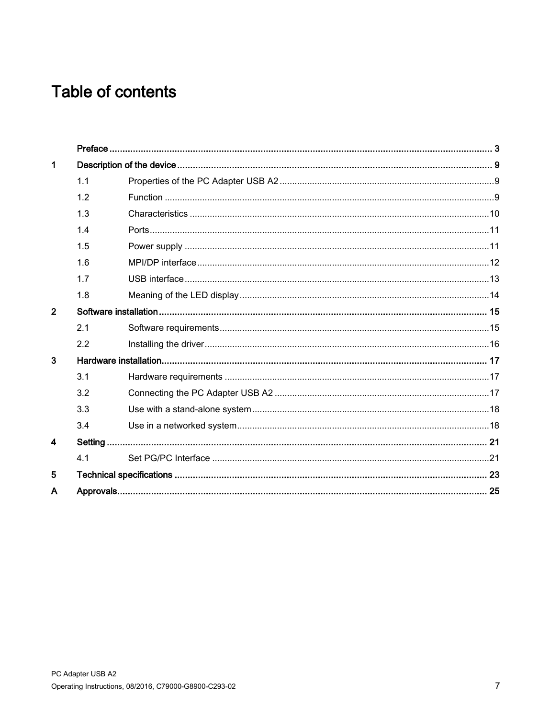## Table of contents

| $\mathbf 1$    |     |  |
|----------------|-----|--|
|                | 1.1 |  |
|                | 1.2 |  |
|                | 1.3 |  |
|                | 1.4 |  |
|                | 1.5 |  |
|                | 1.6 |  |
|                | 17  |  |
|                | 1.8 |  |
| $\overline{2}$ |     |  |
|                | 2.1 |  |
|                | 2.2 |  |
| $\mathbf{3}$   |     |  |
|                | 3.1 |  |
|                | 3.2 |  |
|                | 3.3 |  |
|                | 3.4 |  |
| 4              |     |  |
|                | 4.1 |  |
| 5              |     |  |
| A              |     |  |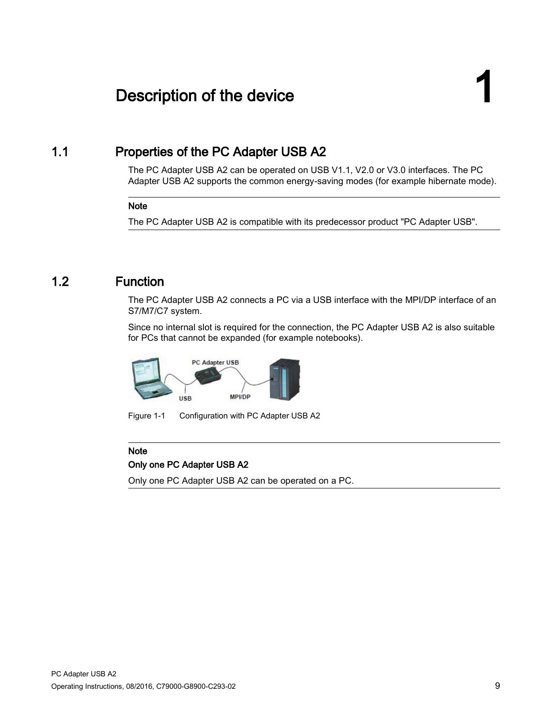## <span id="page-8-1"></span><span id="page-8-0"></span>1.1 Properties of the PC Adapter USB A2

The PC Adapter USB A2 can be operated on USB V1.1, V2.0 or V3.0 interfaces. The PC Adapter USB A2 supports the common energy-saving modes (for example hibernate mode).

#### **Note**

The PC Adapter USB A2 is compatible with its predecessor product "PC Adapter USB".

## <span id="page-8-2"></span>1.2 Function

The PC Adapter USB A2 connects a PC via a USB interface with the MPI/DP interface of an S7/M7/C7 system.

Since no internal slot is required for the connection, the PC Adapter USB A2 is also suitable for PCs that cannot be expanded (for example notebooks).



Figure 1-1 Configuration with PC Adapter USB A2

**Note** Only one PC Adapter USB A2

Only one PC Adapter USB A2 can be operated on a PC.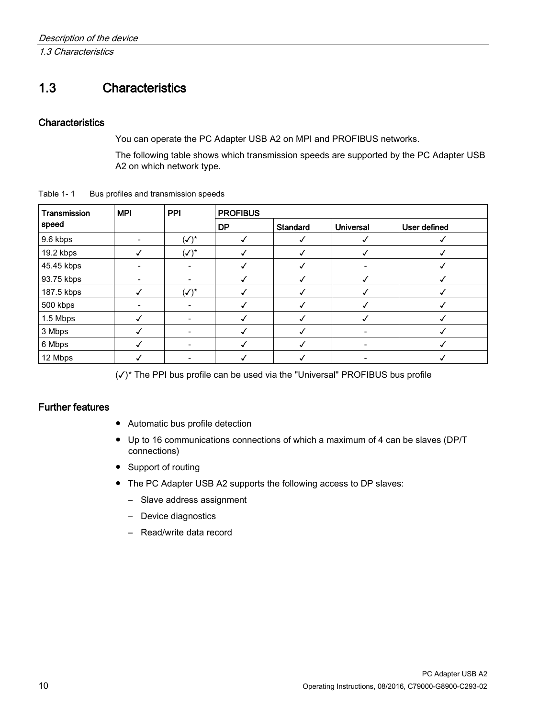## <span id="page-9-0"></span>1.3 Characteristics

#### **Characteristics**

You can operate the PC Adapter USB A2 on MPI and PROFIBUS networks.

The following table shows which transmission speeds are supported by the PC Adapter USB A2 on which network type.

| Transmission | <b>MPI</b> | PPI              | <b>PROFIBUS</b> |          |                          |              |
|--------------|------------|------------------|-----------------|----------|--------------------------|--------------|
| speed        |            |                  | <b>DP</b>       | Standard | <b>Universal</b>         | User defined |
| 9.6 kbps     |            | $(\checkmark)^*$ | ✓               |          |                          |              |
| 19.2 kbps    |            | $(\checkmark)^*$ |                 |          |                          |              |
| 45.45 kbps   |            |                  |                 |          |                          |              |
| 93.75 kbps   |            |                  |                 |          |                          |              |
| 187.5 kbps   |            | $(\checkmark)^*$ |                 |          |                          |              |
| 500 kbps     |            |                  |                 |          |                          |              |
| 1.5 Mbps     |            |                  |                 |          |                          |              |
| 3 Mbps       |            |                  |                 |          | $\overline{\phantom{a}}$ |              |
| 6 Mbps       |            |                  |                 |          | $\overline{\phantom{a}}$ |              |
| 12 Mbps      |            |                  |                 |          |                          |              |

Table 1-1 Bus profiles and transmission speeds

(✓)\* The PPI bus profile can be used via the "Universal" PROFIBUS bus profile

#### Further features

- Automatic bus profile detection
- Up to 16 communications connections of which a maximum of 4 can be slaves (DP/T connections)
- Support of routing
- The PC Adapter USB A2 supports the following access to DP slaves:
	- Slave address assignment
	- Device diagnostics
	- Read/write data record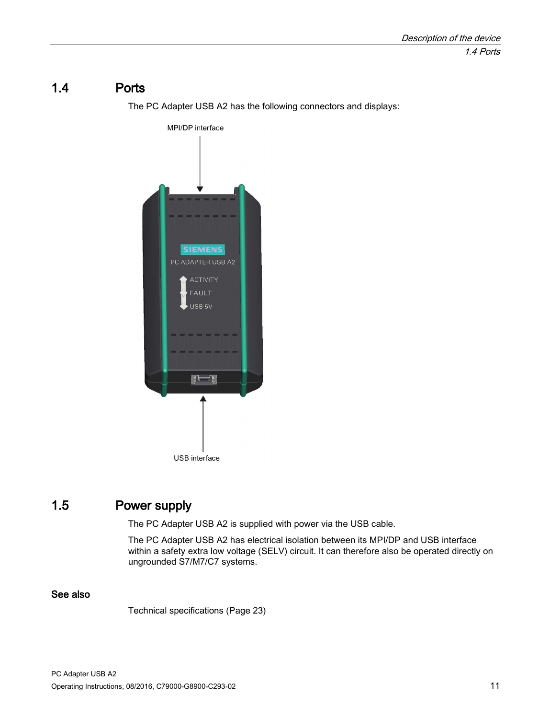## <span id="page-10-0"></span>1.4 Ports

The PC Adapter USB A2 has the following connectors and displays:



## <span id="page-10-1"></span>1.5 Power supply

The PC Adapter USB A2 is supplied with power via the USB cable.

The PC Adapter USB A2 has electrical isolation between its MPI/DP and USB interface within a safety extra low voltage (SELV) circuit. It can therefore also be operated directly on ungrounded S7/M7/C7 systems.

#### See also

[Technical specifications](#page-22-0) (Page [23\)](#page-22-0)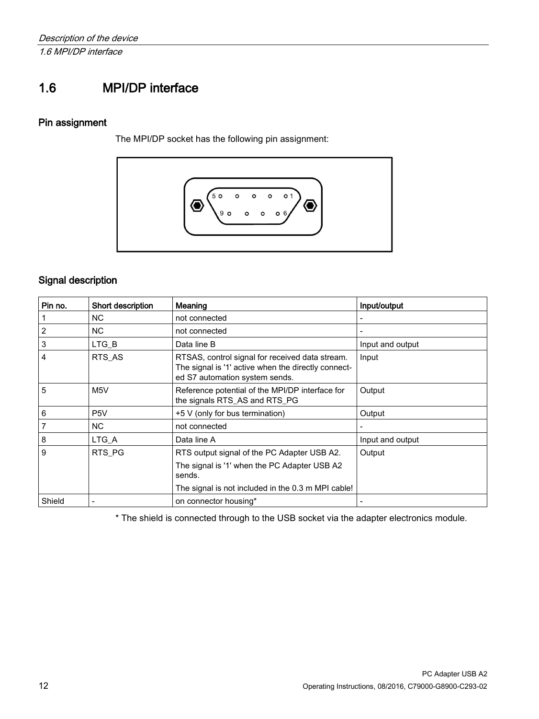## <span id="page-11-0"></span>1.6 MPI/DP interface

#### Pin assignment

The MPI/DP socket has the following pin assignment:



#### Signal description

| Pin no.        | Short description | Meaning                                                                                                                                  | Input/output     |
|----------------|-------------------|------------------------------------------------------------------------------------------------------------------------------------------|------------------|
|                | NC.               | not connected                                                                                                                            |                  |
| $\overline{c}$ | <b>NC</b>         | not connected                                                                                                                            |                  |
| $\mathbf{3}$   | LTG <sub>B</sub>  | Data line B                                                                                                                              | Input and output |
| $\overline{4}$ | RTS AS            | RTSAS, control signal for received data stream.<br>The signal is '1' active when the directly connect-<br>ed S7 automation system sends. | Input            |
| 5              | M <sub>5</sub> V  | Reference potential of the MPI/DP interface for<br>the signals RTS_AS and RTS_PG                                                         | Output           |
| $6\phantom{1}$ | P <sub>5</sub> V  | +5 V (only for bus termination)                                                                                                          | Output           |
| $\overline{7}$ | NC.               | not connected                                                                                                                            |                  |
| 8              | LTG A             | Data line A                                                                                                                              | Input and output |
| 9              | RTS_PG            | RTS output signal of the PC Adapter USB A2.                                                                                              | Output           |
|                |                   | The signal is '1' when the PC Adapter USB A2<br>sends.                                                                                   |                  |
|                |                   | The signal is not included in the 0.3 m MPI cable!                                                                                       |                  |
| Shield         |                   | on connector housing*                                                                                                                    |                  |

\* The shield is connected through to the USB socket via the adapter electronics module.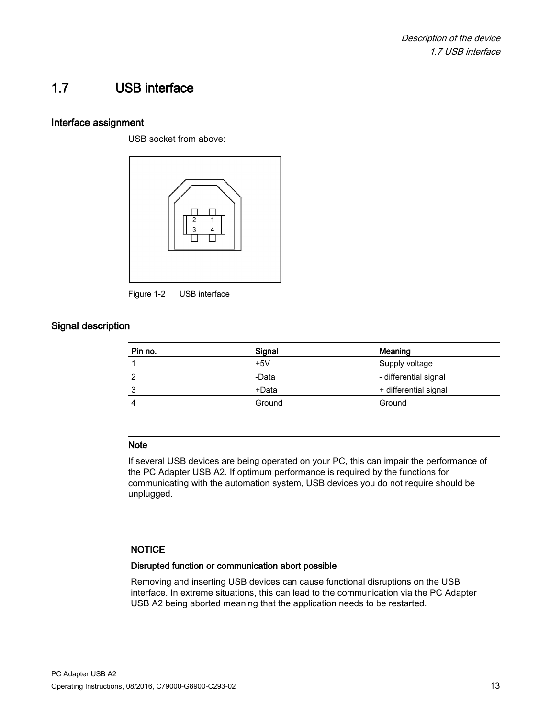## <span id="page-12-0"></span>1.7 USB interface

#### Interface assignment

USB socket from above:



Figure 1-2 USB interface

#### Signal description

| Pin no. | Signal | Meaning               |
|---------|--------|-----------------------|
|         | $+5V$  | Supply voltage        |
|         | -Data  | - differential signal |
| ົ<br>J. | +Data  | + differential signal |
| 4       | Ground | Ground                |

#### **Note**

If several USB devices are being operated on your PC, this can impair the performance of the PC Adapter USB A2. If optimum performance is required by the functions for communicating with the automation system, USB devices you do not require should be unplugged.

#### **NOTICE**

#### Disrupted function or communication abort possible

Removing and inserting USB devices can cause functional disruptions on the USB interface. In extreme situations, this can lead to the communication via the PC Adapter USB A2 being aborted meaning that the application needs to be restarted.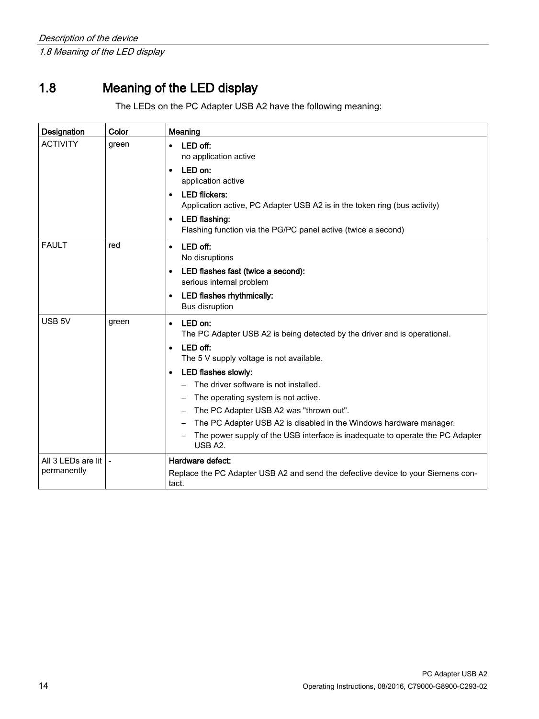## <span id="page-13-0"></span>1.8 Meaning of the LED display

The LEDs on the PC Adapter USB A2 have the following meaning:

| Designation        | Color | Meaning                                                                                           |
|--------------------|-------|---------------------------------------------------------------------------------------------------|
| <b>ACTIVITY</b>    | green | LED off:<br>no application active                                                                 |
|                    |       | LED on:<br>$\bullet$<br>application active                                                        |
|                    |       | <b>LED flickers:</b><br>Application active, PC Adapter USB A2 is in the token ring (bus activity) |
|                    |       | LED flashing:<br>Flashing function via the PG/PC panel active (twice a second)                    |
| <b>FAULT</b>       | red   | LED off:<br>No disruptions                                                                        |
|                    |       | LED flashes fast (twice a second):<br>$\bullet$<br>serious internal problem                       |
|                    |       | LED flashes rhythmically:<br>$\bullet$                                                            |
|                    |       | Bus disruption                                                                                    |
| USB <sub>5V</sub>  | green | LED on:<br>The PC Adapter USB A2 is being detected by the driver and is operational.              |
|                    |       | LED off:                                                                                          |
|                    |       | The 5 V supply voltage is not available.                                                          |
|                    |       | <b>LED flashes slowly:</b>                                                                        |
|                    |       | The driver software is not installed.                                                             |
|                    |       | The operating system is not active.                                                               |
|                    |       | The PC Adapter USB A2 was "thrown out".                                                           |
|                    |       | The PC Adapter USB A2 is disabled in the Windows hardware manager.                                |
|                    |       | The power supply of the USB interface is inadequate to operate the PC Adapter<br>USB A2.          |
| All 3 LEDs are lit |       | Hardware defect:                                                                                  |
| permanently        |       | Replace the PC Adapter USB A2 and send the defective device to your Siemens con-<br>tact.         |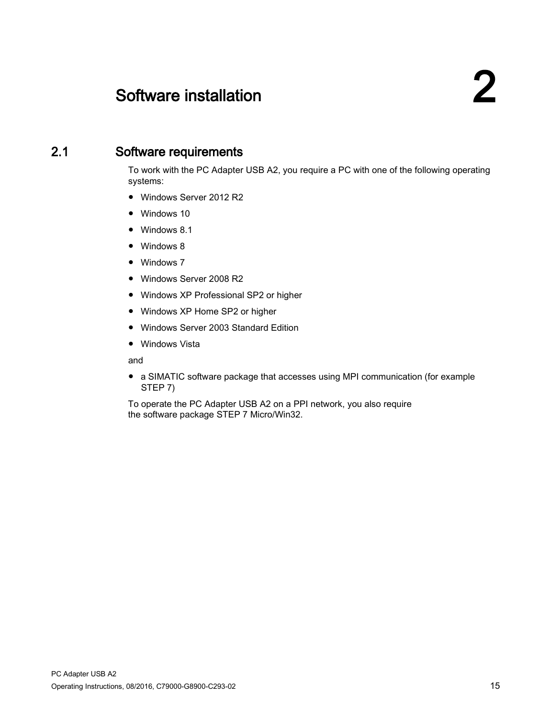## Software installation 2

## <span id="page-14-1"></span><span id="page-14-0"></span>2.1 Software requirements

To work with the PC Adapter USB A2, you require a PC with one of the following operating systems:

- Windows Server 2012 R2
- Windows 10
- Windows 8.1
- Windows 8
- Windows 7
- Windows Server 2008 R2
- Windows XP Professional SP2 or higher
- Windows XP Home SP2 or higher
- Windows Server 2003 Standard Edition
- Windows Vista

and

● a SIMATIC software package that accesses using MPI communication (for example STEP 7)

To operate the PC Adapter USB A2 on a PPI network, you also require the software package STEP 7 Micro/Win32.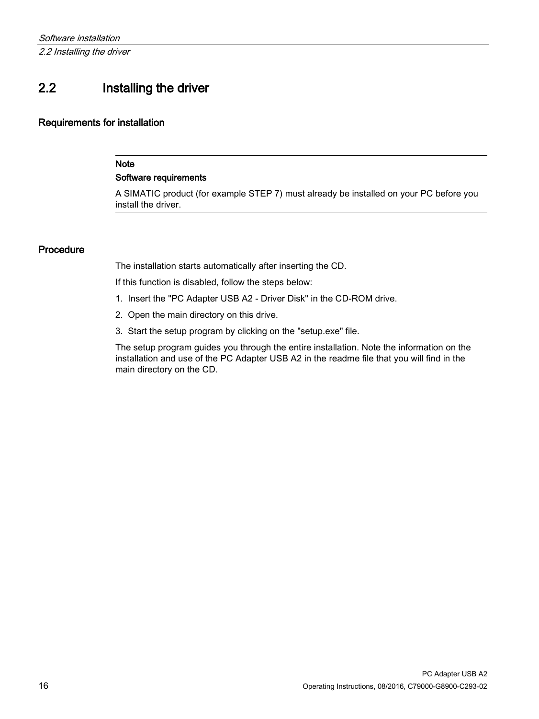## <span id="page-15-0"></span>2.2 Installing the driver

#### Requirements for installation

#### Note

#### Software requirements

A SIMATIC product (for example STEP 7) must already be installed on your PC before you install the driver.

#### Procedure

The installation starts automatically after inserting the CD.

If this function is disabled, follow the steps below:

- 1. Insert the "PC Adapter USB A2 Driver Disk" in the CD-ROM drive.
- 2. Open the main directory on this drive.
- 3. Start the setup program by clicking on the "setup.exe" file.

The setup program guides you through the entire installation. Note the information on the installation and use of the PC Adapter USB A2 in the readme file that you will find in the main directory on the CD.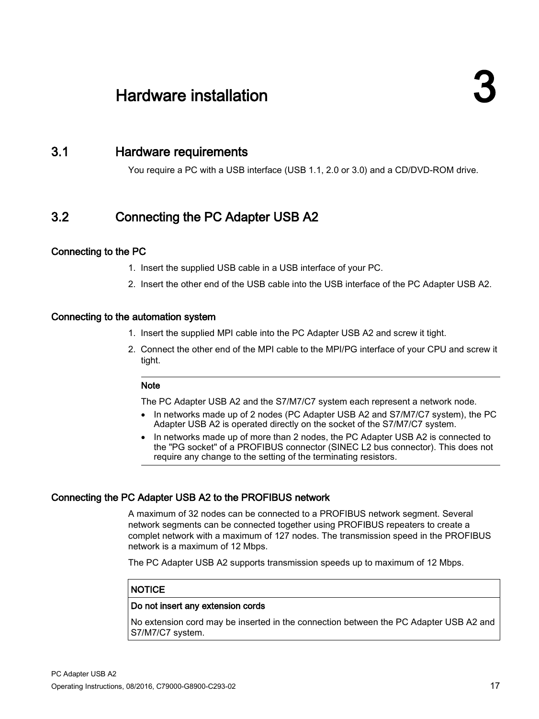## Hardware installation 3

#### <span id="page-16-2"></span><span id="page-16-1"></span><span id="page-16-0"></span>3.1 Hardware requirements

You require a PC with a USB interface (USB 1.1, 2.0 or 3.0) and a CD/DVD-ROM drive.

### 3.2 Connecting the PC Adapter USB A2

#### Connecting to the PC

- 1. Insert the supplied USB cable in a USB interface of your PC.
- 2. Insert the other end of the USB cable into the USB interface of the PC Adapter USB A2.

#### Connecting to the automation system

- 1. Insert the supplied MPI cable into the PC Adapter USB A2 and screw it tight.
- 2. Connect the other end of the MPI cable to the MPI/PG interface of your CPU and screw it tight.

#### Note

The PC Adapter USB A2 and the S7/M7/C7 system each represent a network node.

- In networks made up of 2 nodes (PC Adapter USB A2 and S7/M7/C7 system), the PC Adapter USB A2 is operated directly on the socket of the S7/M7/C7 system.
- In networks made up of more than 2 nodes, the PC Adapter USB A2 is connected to the "PG socket" of a PROFIBUS connector (SINEC L2 bus connector). This does not require any change to the setting of the terminating resistors.

#### Connecting the PC Adapter USB A2 to the PROFIBUS network

A maximum of 32 nodes can be connected to a PROFIBUS network segment. Several network segments can be connected together using PROFIBUS repeaters to create a complet network with a maximum of 127 nodes. The transmission speed in the PROFIBUS network is a maximum of 12 Mbps.

The PC Adapter USB A2 supports transmission speeds up to maximum of 12 Mbps.

#### **NOTICE**

#### Do not insert any extension cords

No extension cord may be inserted in the connection between the PC Adapter USB A2 and S7/M7/C7 system.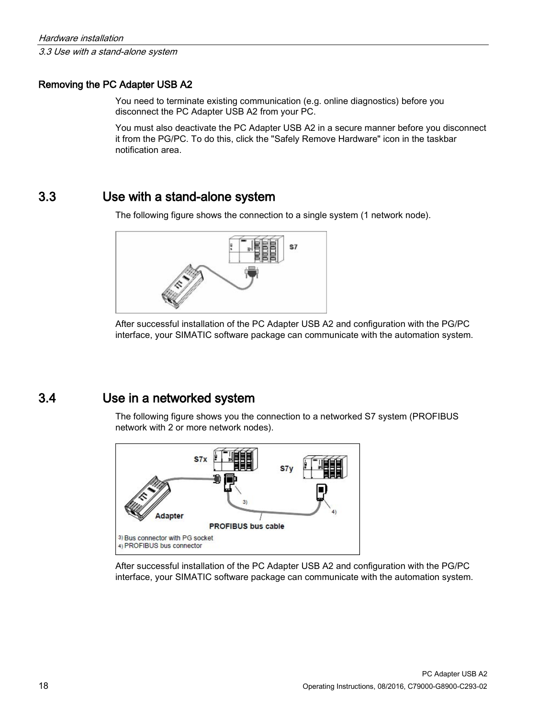3.3 Use with a stand-alone system

#### Removing the PC Adapter USB A2

You need to terminate existing communication (e.g. online diagnostics) before you disconnect the PC Adapter USB A2 from your PC.

You must also deactivate the PC Adapter USB A2 in a secure manner before you disconnect it from the PG/PC. To do this, click the "Safely Remove Hardware" icon in the taskbar notification area.

## <span id="page-17-0"></span>3.3 Use with a stand-alone system

The following figure shows the connection to a single system (1 network node).



After successful installation of the PC Adapter USB A2 and configuration with the PG/PC interface, your SIMATIC software package can communicate with the automation system.

### <span id="page-17-1"></span>3.4 Use in a networked system

The following figure shows you the connection to a networked S7 system (PROFIBUS network with 2 or more network nodes).



After successful installation of the PC Adapter USB A2 and configuration with the PG/PC interface, your SIMATIC software package can communicate with the automation system.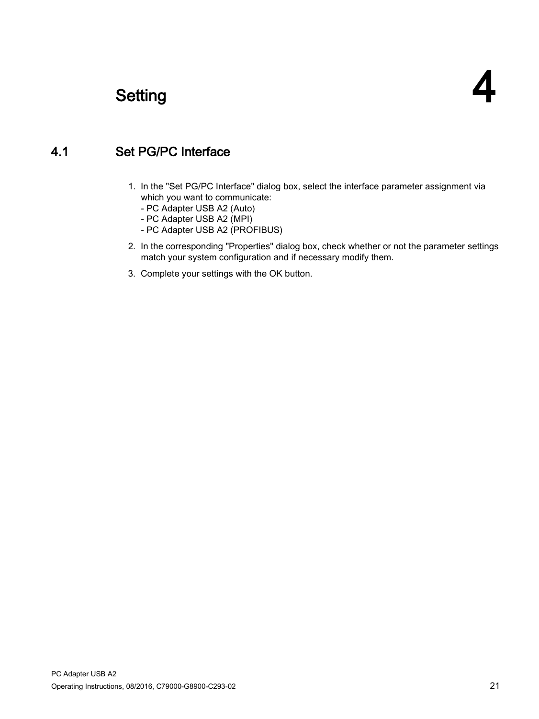# $\overline{a}$  Setting  $\overline{a}$

## <span id="page-20-1"></span><span id="page-20-0"></span>4.1 Set PG/PC Interface

- 1. In the "Set PG/PC Interface" dialog box, select the interface parameter assignment via which you want to communicate:
	- PC Adapter USB A2 (Auto)
	- PC Adapter USB A2 (MPI)
	- PC Adapter USB A2 (PROFIBUS)
- 2. In the corresponding "Properties" dialog box, check whether or not the parameter settings match your system configuration and if necessary modify them.
- 3. Complete your settings with the OK button.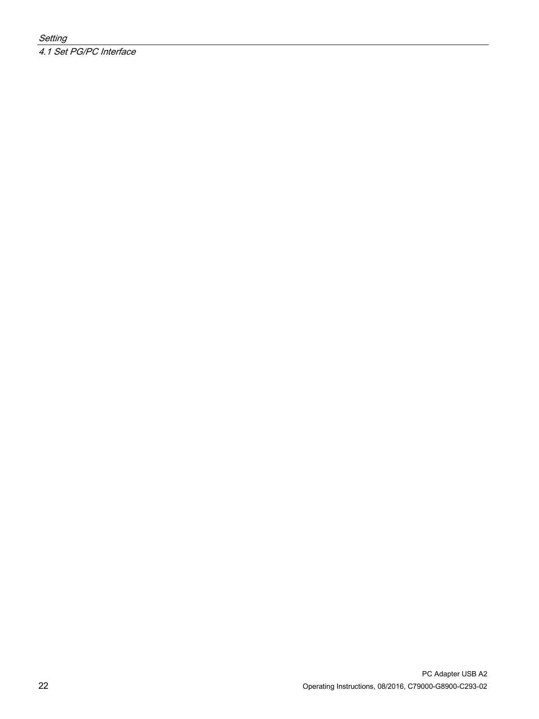#### **Setting**

4.1 Set PG/PC Interface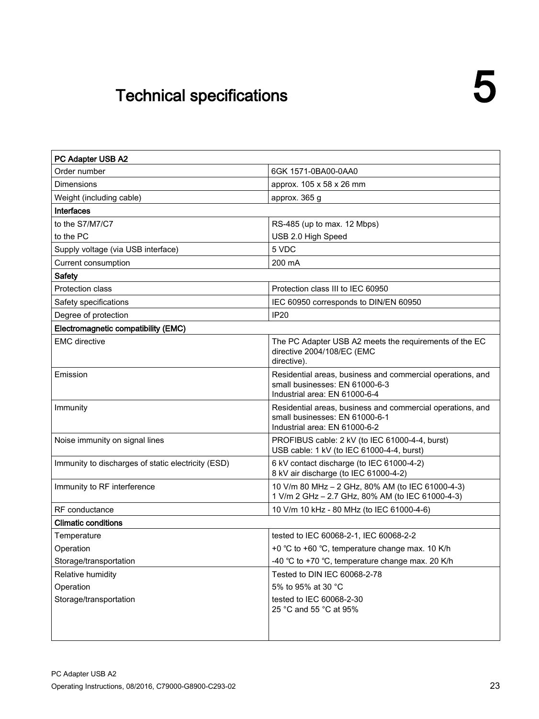# Technical specifications 5

<span id="page-22-0"></span>

| PC Adapter USB A2                                  |                                                                                                                               |
|----------------------------------------------------|-------------------------------------------------------------------------------------------------------------------------------|
| Order number                                       | 6GK 1571-0BA00-0AA0                                                                                                           |
| Dimensions                                         | approx. 105 x 58 x 26 mm                                                                                                      |
| Weight (including cable)                           | approx. 365 g                                                                                                                 |
| Interfaces                                         |                                                                                                                               |
| to the S7/M7/C7                                    | RS-485 (up to max. 12 Mbps)                                                                                                   |
| to the PC                                          | USB 2.0 High Speed                                                                                                            |
| Supply voltage (via USB interface)                 | 5 VDC                                                                                                                         |
| Current consumption                                | 200 mA                                                                                                                        |
| <b>Safety</b>                                      |                                                                                                                               |
| Protection class                                   | Protection class III to IEC 60950                                                                                             |
| Safety specifications                              | IEC 60950 corresponds to DIN/EN 60950                                                                                         |
| Degree of protection                               | <b>IP20</b>                                                                                                                   |
| Electromagnetic compatibility (EMC)                |                                                                                                                               |
| <b>EMC</b> directive                               | The PC Adapter USB A2 meets the requirements of the EC<br>directive 2004/108/EC (EMC<br>directive).                           |
| Emission                                           | Residential areas, business and commercial operations, and<br>small businesses: EN 61000-6-3<br>Industrial area: EN 61000-6-4 |
| Immunity                                           | Residential areas, business and commercial operations, and<br>small businesses: EN 61000-6-1<br>Industrial area: EN 61000-6-2 |
| Noise immunity on signal lines                     | PROFIBUS cable: 2 kV (to IEC 61000-4-4, burst)<br>USB cable: 1 kV (to IEC 61000-4-4, burst)                                   |
| Immunity to discharges of static electricity (ESD) | 6 kV contact discharge (to IEC 61000-4-2)<br>8 kV air discharge (to IEC 61000-4-2)                                            |
| Immunity to RF interference                        | 10 V/m 80 MHz - 2 GHz, 80% AM (to IEC 61000-4-3)<br>1 V/m 2 GHz - 2.7 GHz, 80% AM (to IEC 61000-4-3)                          |
| RF conductance                                     | 10 V/m 10 kHz - 80 MHz (to IEC 61000-4-6)                                                                                     |
| <b>Climatic conditions</b>                         |                                                                                                                               |
| Temperature                                        | tested to IEC 60068-2-1, IEC 60068-2-2                                                                                        |
| Operation                                          | +0 °C to +60 °C, temperature change max. 10 K/h                                                                               |
| Storage/transportation                             | -40 °C to +70 °C, temperature change max. 20 K/h                                                                              |
| Relative humidity                                  | Tested to DIN IEC 60068-2-78                                                                                                  |
| Operation                                          | 5% to 95% at 30 °C                                                                                                            |
| Storage/transportation                             | tested to IEC 60068-2-30<br>25 °C and 55 °C at 95%                                                                            |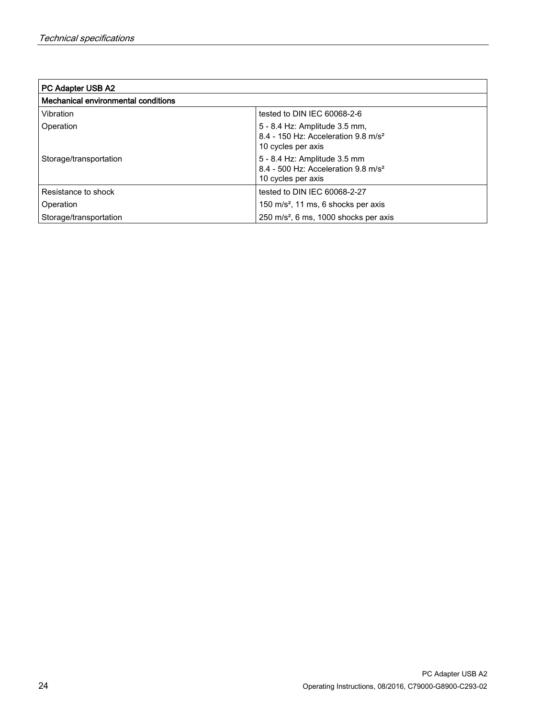| PC Adapter USB A2                   |                                                                                                          |
|-------------------------------------|----------------------------------------------------------------------------------------------------------|
| Mechanical environmental conditions |                                                                                                          |
| Vibration                           | tested to DIN IEC 60068-2-6                                                                              |
| Operation                           | 5 - 8.4 Hz: Amplitude 3.5 mm,<br>$8.4 - 150$ Hz: Acceleration 9.8 m/s <sup>2</sup><br>10 cycles per axis |
| Storage/transportation              | 5 - 8.4 Hz: Amplitude 3.5 mm<br>$8.4 - 500$ Hz: Acceleration 9.8 m/s <sup>2</sup><br>10 cycles per axis  |
| Resistance to shock                 | tested to DIN IEC 60068-2-27                                                                             |
| Operation                           | 150 m/s <sup>2</sup> , 11 ms, 6 shocks per axis                                                          |
| Storage/transportation              | $250$ m/s <sup>2</sup> , 6 ms, 1000 shocks per axis                                                      |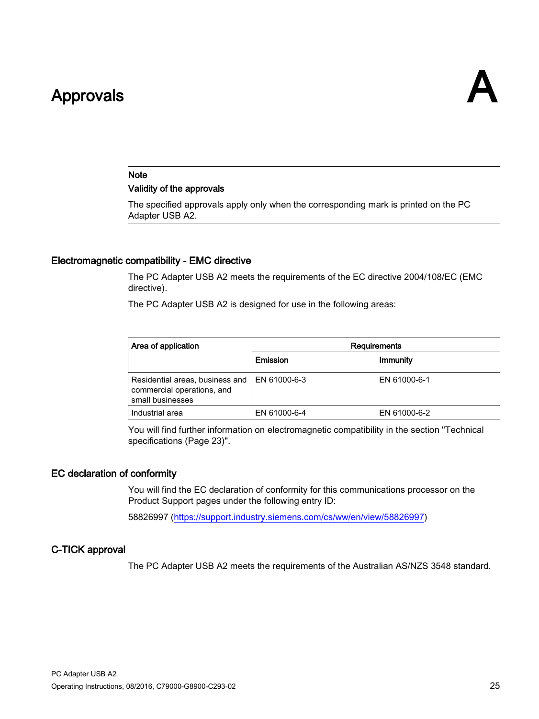#### <span id="page-24-0"></span>**Note**

#### Validity of the approvals

The specified approvals apply only when the corresponding mark is printed on the PC Adapter USB A2.

#### Electromagnetic compatibility - EMC directive

The PC Adapter USB A2 meets the requirements of the EC directive 2004/108/EC (EMC directive).

The PC Adapter USB A2 is designed for use in the following areas:

| Area of application                                                               | <b>Requirements</b> |                 |  |
|-----------------------------------------------------------------------------------|---------------------|-----------------|--|
|                                                                                   | Emission            | <b>Immunity</b> |  |
| Residential areas, business and<br>commercial operations, and<br>small businesses | EN 61000-6-3        | EN 61000-6-1    |  |
| Industrial area                                                                   | EN 61000-6-4        | EN 61000-6-2    |  |

You will find further information on electromagnetic compatibility in the section ["Technical](#page-22-0)  [specifications](#page-22-0) (Page [23\)](#page-22-0)".

#### EC declaration of conformity

You will find the EC declaration of conformity for this communications processor on the Product Support pages under the following entry ID:

58826997 [\(https://support.industry.siemens.com/cs/ww/en/view/58826997\)](https://support.industry.siemens.com/cs/ww/en/view/58826997)

#### C-TICK approval

The PC Adapter USB A2 meets the requirements of the Australian AS/NZS 3548 standard.